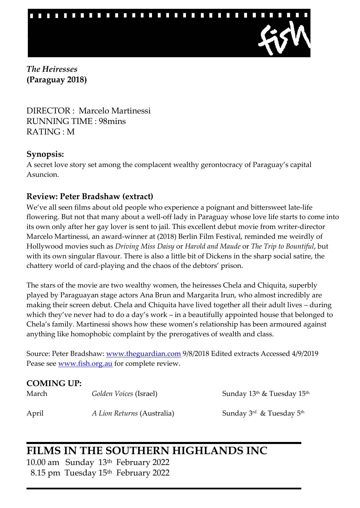

*The Heiresses* **(Paraguay 2018)**

DIRECTOR : Marcelo Martinessi RUNNING TIME : 98mins RATING : M

#### **Synopsis:**

A secret love story set among the complacent wealthy gerontocracy of Paraguay's capital Asuncion.

### **Review: Peter Bradshaw (extract)**

We've all seen films about old people who experience a poignant and bittersweet late-life flowering. But not that many about a well-off lady in Paraguay whose love life starts to come into its own only after her gay lover is sent to jail. This excellent debut movie from writer-director Marcelo Martinessi, an award-winner at (2018) Berlin Film Festival, reminded me weirdly of Hollywood movies such as *Driving Miss Daisy* or *Harold and Maude* or *The Trip to Bountiful*, but with its own singular flavour. There is also a little bit of Dickens in the sharp social satire, the chattery world of card-playing and the chaos of the debtors' prison.

The stars of the movie are two wealthy women, the heiresses Chela and Chiquita, superbly played by Paraguayan stage actors Ana Brun and Margarita Irun, who almost incredibly are making their screen debut. Chela and Chiquita have lived together all their adult lives – during which they've never had to do a day's work – in a beautifully appointed house that belonged to Chela's family. Martinessi shows how these women's relationship has been armoured against anything like homophobic complaint by the prerogatives of wealth and class.

Source: Peter Bradshaw: [www.theguardian.com](http://www.theguardian.com/) 9/8/2018 Edited extracts Accessed 4/9/2019 Pease see [www.fish.org.au](http://www.fish.org.au/) for complete review.

| <b>COMING UP:</b> |                            |                                                    |
|-------------------|----------------------------|----------------------------------------------------|
| March             | Golden Voices (Israel)     | Sunday 13 <sup>th</sup> & Tuesday 15 <sup>th</sup> |
| April             | A Lion Returns (Australia) | Sunday $3^{\rm rd}$ & Tuesday $5^{\rm th}$         |

# **FILMS IN THE SOUTHERN HIGHLANDS INC**

10.00 am Sunday 13th February 2022 8.15 pm Tuesday 15th February 2022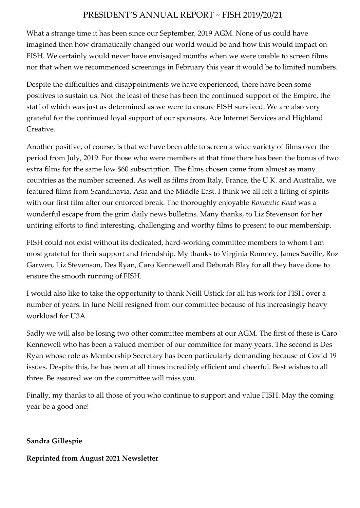#### PRESIDENT'S ANNUAL REPORT ~ FISH 2019/20/21

What a strange time it has been since our September, 2019 AGM. None of us could have imagined then how dramatically changed our world would be and how this would impact on FISH. We certainly would never have envisaged months when we were unable to screen films nor that when we recommenced screenings in February this year it would be to limited numbers.

Despite the difficulties and disappointments we have experienced, there have been some positives to sustain us. Not the least of these has been the continued support of the Empire, the staff of which was just as determined as we were to ensure FISH survived. We are also very grateful for the continued loyal support of our sponsors, Ace Internet Services and Highland Creative.

Another positive, of course, is that we have been able to screen a wide variety of films over the period from July, 2019. For those who were members at that time there has been the bonus of two extra films for the same low \$60 subscription. The films chosen came from almost as many countries as the number screened. As well as films from Italy, France, the U.K. and Australia, we featured films from Scandinavia, Asia and the Middle East. I think we all felt a lifting of spirits with our first film after our enforced break. The thoroughly enjoyable *Romantic Road* was a wonderful escape from the grim daily news bulletins. Many thanks, to Liz Stevenson for her untiring efforts to find interesting, challenging and worthy films to present to our membership.

FISH could not exist without its dedicated, hard-working committee members to whom I am most grateful for their support and friendship. My thanks to Virginia Romney, James Saville, Roz Garwen, Liz Stevenson, Des Ryan, Caro Kennewell and Deborah Blay for all they have done to ensure the smooth running of FISH.

I would also like to take the opportunity to thank Neill Ustick for all his work for FISH over a number of years. In June Neill resigned from our committee because of his increasingly heavy workload for U3A.

Sadly we will also be losing two other committee members at our AGM. The first of these is Caro Kennewell who has been a valued member of our committee for many years. The second is Des Ryan whose role as Membership Secretary has been particularly demanding because of Covid 19 issues. Despite this, he has been at all times incredibly efficient and cheerful. Best wishes to all three. Be assured we on the committee will miss you.

Finally, my thanks to all those of you who continue to support and value FISH. May the coming year be a good one!

**Sandra Gillespie**

#### **Reprinted from August 2021 Newsletter**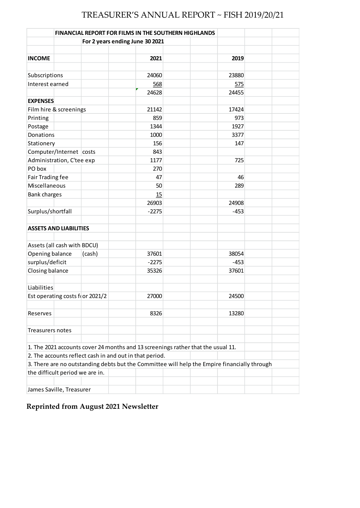## TREASURER'S ANNUAL REPORT ~ FISH 2019/20/21

|                     |                                 |                                 | <b>FINANCIAL REPORT FOR FILMS IN THE SOUTHERN HIGHLANDS</b>                                  |  |        |  |
|---------------------|---------------------------------|---------------------------------|----------------------------------------------------------------------------------------------|--|--------|--|
|                     |                                 | For 2 years ending June 30 2021 |                                                                                              |  |        |  |
|                     |                                 |                                 |                                                                                              |  |        |  |
| <b>INCOME</b>       |                                 |                                 | 2021                                                                                         |  | 2019   |  |
|                     |                                 |                                 |                                                                                              |  |        |  |
| Subscriptions       |                                 |                                 | 24060                                                                                        |  | 23880  |  |
| Interest earned     |                                 |                                 | 568                                                                                          |  | 575    |  |
|                     |                                 |                                 | 24628                                                                                        |  | 24455  |  |
| <b>EXPENSES</b>     |                                 |                                 |                                                                                              |  |        |  |
|                     | Film hire & screenings          |                                 | 21142                                                                                        |  | 17424  |  |
| Printing            |                                 |                                 | 859                                                                                          |  | 973    |  |
| Postage             |                                 |                                 | 1344                                                                                         |  | 1927   |  |
| Donations           |                                 |                                 | 1000                                                                                         |  | 3377   |  |
| Stationery          |                                 |                                 | 156                                                                                          |  | 147    |  |
|                     | Computer/Internet costs         |                                 | 843                                                                                          |  |        |  |
|                     | Administration, C'tee exp       |                                 | 1177                                                                                         |  | 725    |  |
| PO box              |                                 |                                 | 270                                                                                          |  |        |  |
| Fair Trading fee    |                                 |                                 | 47                                                                                           |  | 46     |  |
| Miscellaneous       |                                 |                                 | 50                                                                                           |  | 289    |  |
| <b>Bank charges</b> |                                 |                                 | 15                                                                                           |  |        |  |
|                     |                                 |                                 | 26903                                                                                        |  | 24908  |  |
| Surplus/shortfall   |                                 |                                 | $-2275$                                                                                      |  | $-453$ |  |
|                     |                                 |                                 |                                                                                              |  |        |  |
|                     | <b>ASSETS AND LIABILITIES</b>   |                                 |                                                                                              |  |        |  |
|                     |                                 |                                 |                                                                                              |  |        |  |
|                     | Assets (all cash with BDCU)     |                                 |                                                                                              |  |        |  |
| Opening balance     |                                 | (cash)                          | 37601                                                                                        |  | 38054  |  |
| surplus/deficit     |                                 |                                 | $-2275$                                                                                      |  | $-453$ |  |
| Closing balance     |                                 |                                 | 35326                                                                                        |  | 37601  |  |
|                     |                                 |                                 |                                                                                              |  |        |  |
| Liabilities         |                                 |                                 |                                                                                              |  |        |  |
|                     |                                 | Est operating costs foor 2021/2 | 27000                                                                                        |  | 24500  |  |
|                     |                                 |                                 |                                                                                              |  |        |  |
| Reserves            |                                 |                                 | 8326                                                                                         |  | 13280  |  |
|                     |                                 |                                 |                                                                                              |  |        |  |
| Treasurers notes    |                                 |                                 |                                                                                              |  |        |  |
|                     |                                 |                                 |                                                                                              |  |        |  |
|                     |                                 |                                 | 1. The 2021 accounts cover 24 months and 13 screenings rather that the usual 11.             |  |        |  |
|                     |                                 |                                 | 2. The accounts reflect cash in and out in that period.                                      |  |        |  |
|                     |                                 |                                 | 3. There are no outstanding debts but the Committee will help the Empire financially through |  |        |  |
|                     | the difficult period we are in. |                                 |                                                                                              |  |        |  |
|                     |                                 |                                 |                                                                                              |  |        |  |
|                     | James Saville, Treasurer        |                                 |                                                                                              |  |        |  |

**Reprinted from August 2021 Newsletter**